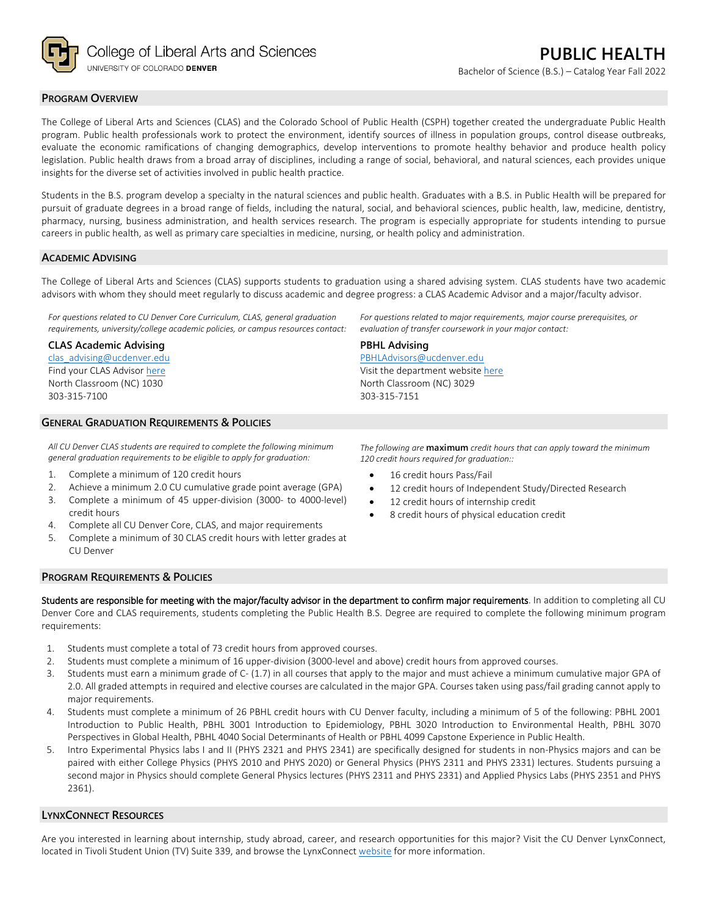

## **PROGRAM OVERVIEW**

The College of Liberal Arts and Sciences (CLAS) and the Colorado School of Public Health (CSPH) together created the undergraduate Public Health program. Public health professionals work to protect the environment, identify sources of illness in population groups, control disease outbreaks, evaluate the economic ramifications of changing demographics, develop interventions to promote healthy behavior and produce health policy legislation. Public health draws from a broad array of disciplines, including a range of social, behavioral, and natural sciences, each provides unique insights for the diverse set of activities involved in public health practice.

Students in the B.S. program develop a specialty in the natural sciences and public health. Graduates with a B.S. in Public Health will be prepared for pursuit of graduate degrees in a broad range of fields, including the natural, social, and behavioral sciences, public health, law, medicine, dentistry, pharmacy, nursing, business administration, and health services research. The program is especially appropriate for students intending to pursue careers in public health, as well as primary care specialties in medicine, nursing, or health policy and administration.

### **ACADEMIC ADVISING**

The College of Liberal Arts and Sciences (CLAS) supports students to graduation using a shared advising system. CLAS students have two academic advisors with whom they should meet regularly to discuss academic and degree progress: a CLAS Academic Advisor and a major/faculty advisor.

**PBHL Advising**

303-315-7151

[PBHLAdvisors@ucdenver.edu](mailto:PBHLAdvisors@ucdenver.edu) Visit the department websit[e here](https://clas.ucdenver.edu/hbsc/degree-programs/bachelor-arts-or-science-public-health) North Classroom (NC) 3029

*For questions related to CU Denver Core Curriculum, CLAS, general graduation requirements, university/college academic policies, or campus resources contact:*

#### **CLAS Academic Advising**

[clas\\_advising@ucdenver.edu](mailto:clas_advising@ucdenver.edu) Find your CLAS Adviso[r here](https://clas.ucdenver.edu/advising/) North Classroom (NC) 1030 303-315-7100

# **GENERAL GRADUATION REQUIREMENTS & POLICIES**

*All CU Denver CLAS students are required to complete the following minimum general graduation requirements to be eligible to apply for graduation:*

- 1. Complete a minimum of 120 credit hours
- 2. Achieve a minimum 2.0 CU cumulative grade point average (GPA)
- 3. Complete a minimum of 45 upper-division (3000- to 4000-level) credit hours
- 4. Complete all CU Denver Core, CLAS, and major requirements
- 5. Complete a minimum of 30 CLAS credit hours with letter grades at CU Denver

*The following are* **maximum** *credit hours that can apply toward the minimum 120 credit hours required for graduation::*

*For questions related to major requirements, major course prerequisites, or* 

*evaluation of transfer coursework in your major contact:*

- 16 credit hours Pass/Fail
- 12 credit hours of Independent Study/Directed Research
- 12 credit hours of internship credit
- 8 credit hours of physical education credit

#### **PROGRAM REQUIREMENTS & POLICIES**

Students are responsible for meeting with the major/faculty advisor in the department to confirm major requirements. In addition to completing all CU Denver Core and CLAS requirements, students completing the Public Health B.S. Degree are required to complete the following minimum program requirements:

- 1. Students must complete a total of 73 credit hours from approved courses.
- 2. Students must complete a minimum of 16 upper-division (3000-level and above) credit hours from approved courses.
- 3. Students must earn a minimum grade of C- (1.7) in all courses that apply to the major and must achieve a minimum cumulative major GPA of 2.0. All graded attempts in required and elective courses are calculated in the major GPA. Courses taken using pass/fail grading cannot apply to major requirements.
- 4. Students must complete a minimum of 26 PBHL credit hours with CU Denver faculty, including a minimum of 5 of the following: PBHL 2001 Introduction to Public Health, PBHL 3001 Introduction to Epidemiology, PBHL 3020 Introduction to Environmental Health, PBHL 3070 Perspectives in Global Health, PBHL 4040 Social Determinants of Health or PBHL 4099 Capstone Experience in Public Health.
- 5. Intro Experimental Physics labs I and II (PHYS 2321 and PHYS 2341) are specifically designed for students in non-Physics majors and can be paired with either College Physics (PHYS 2010 and PHYS 2020) or General Physics (PHYS 2311 and PHYS 2331) lectures. Students pursuing a second major in Physics should complete General Physics lectures (PHYS 2311 and PHYS 2331) and Applied Physics Labs (PHYS 2351 and PHYS 2361).

## **LYNXCONNECT RESOURCES**

Are you interested in learning about internship, study abroad, career, and research opportunities for this major? Visit the CU Denver LynxConnect, located in Tivoli Student Union (TV) Suite 339, and browse the LynxConnec[t website](http://www.ucdenver.edu/lynxconnect/Pages/default.aspx) for more information.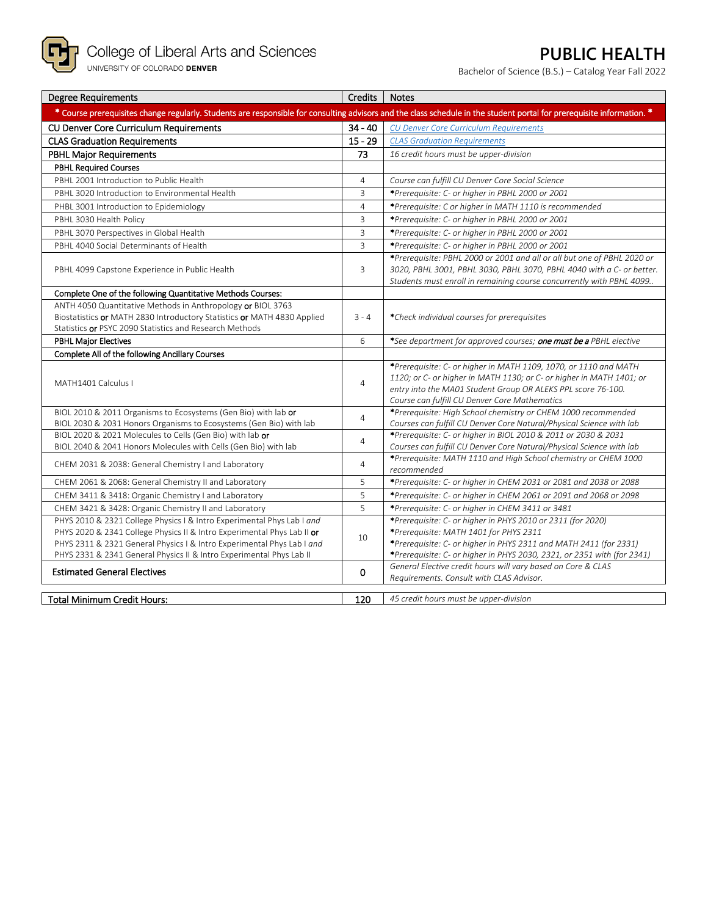

# **PUBLIC HEALTH**

Bachelor of Science (B.S.) – Catalog Year Fall 2022

| <b>Degree Requirements</b>                                                                                                                                             | Credits        | <b>Notes</b>                                                                                                                             |
|------------------------------------------------------------------------------------------------------------------------------------------------------------------------|----------------|------------------------------------------------------------------------------------------------------------------------------------------|
| * Course prerequisites change regularly. Students are responsible for consulting advisors and the class schedule in the student portal for prerequisite information. * |                |                                                                                                                                          |
| CU Denver Core Curriculum Requirements                                                                                                                                 | $34 - 40$      | <b>CU Denver Core Curriculum Requirements</b>                                                                                            |
| <b>CLAS Graduation Requirements</b>                                                                                                                                    | $15 - 29$      | <b>CLAS Graduation Requirements</b>                                                                                                      |
| <b>PBHL Major Requirements</b>                                                                                                                                         | 73             | 16 credit hours must be upper-division                                                                                                   |
| <b>PBHL Required Courses</b>                                                                                                                                           |                |                                                                                                                                          |
| PBHL 2001 Introduction to Public Health                                                                                                                                | $\overline{4}$ | Course can fulfill CU Denver Core Social Science                                                                                         |
| PBHL 3020 Introduction to Environmental Health                                                                                                                         | $\overline{3}$ | *Prerequisite: C- or higher in PBHL 2000 or 2001                                                                                         |
| PHBL 3001 Introduction to Epidemiology                                                                                                                                 | $\overline{4}$ | *Prerequisite: C or higher in MATH 1110 is recommended                                                                                   |
| PBHL 3030 Health Policy                                                                                                                                                | $\overline{3}$ | *Prerequisite: C- or higher in PBHL 2000 or 2001                                                                                         |
| PBHL 3070 Perspectives in Global Health                                                                                                                                | $\overline{3}$ | *Prerequisite: C- or higher in PBHL 2000 or 2001                                                                                         |
| PBHL 4040 Social Determinants of Health                                                                                                                                | $\overline{3}$ | *Prerequisite: C- or higher in PBHL 2000 or 2001                                                                                         |
|                                                                                                                                                                        |                | *Prerequisite: PBHL 2000 or 2001 and all or all but one of PBHL 2020 or                                                                  |
| PBHL 4099 Capstone Experience in Public Health                                                                                                                         | 3              | 3020, PBHL 3001, PBHL 3030, PBHL 3070, PBHL 4040 with a C- or better.                                                                    |
|                                                                                                                                                                        |                | Students must enroll in remaining course concurrently with PBHL 4099.                                                                    |
| Complete One of the following Quantitative Methods Courses:                                                                                                            |                |                                                                                                                                          |
| ANTH 4050 Quantitative Methods in Anthropology or BIOL 3763                                                                                                            |                |                                                                                                                                          |
| Biostatistics or MATH 2830 Introductory Statistics or MATH 4830 Applied                                                                                                | $3 - 4$        | *Check individual courses for prerequisites                                                                                              |
| Statistics or PSYC 2090 Statistics and Research Methods                                                                                                                |                |                                                                                                                                          |
| <b>PBHL Major Electives</b>                                                                                                                                            | 6              | *See department for approved courses; <b>one must be a</b> PBHL elective                                                                 |
| Complete All of the following Ancillary Courses                                                                                                                        |                |                                                                                                                                          |
|                                                                                                                                                                        |                | *Prerequisite: C- or higher in MATH 1109, 1070, or 1110 and MATH<br>1120; or C- or higher in MATH 1130; or C- or higher in MATH 1401; or |
| MATH1401 Calculus I                                                                                                                                                    | $\overline{4}$ | entry into the MA01 Student Group OR ALEKS PPL score 76-100.                                                                             |
|                                                                                                                                                                        |                | Course can fulfill CU Denver Core Mathematics                                                                                            |
| BIOL 2010 & 2011 Organisms to Ecosystems (Gen Bio) with lab or                                                                                                         |                | *Prerequisite: High School chemistry or CHEM 1000 recommended                                                                            |
| BIOL 2030 & 2031 Honors Organisms to Ecosystems (Gen Bio) with lab                                                                                                     | $\overline{4}$ | Courses can fulfill CU Denver Core Natural/Physical Science with lab                                                                     |
| BIOL 2020 & 2021 Molecules to Cells (Gen Bio) with lab or                                                                                                              | $\overline{4}$ | *Prerequisite: C- or higher in BIOL 2010 & 2011 or 2030 & 2031                                                                           |
| BIOL 2040 & 2041 Honors Molecules with Cells (Gen Bio) with lab                                                                                                        |                | Courses can fulfill CU Denver Core Natural/Physical Science with lab                                                                     |
| CHEM 2031 & 2038: General Chemistry I and Laboratory                                                                                                                   | $\overline{4}$ | *Prerequisite: MATH 1110 and High School chemistry or CHEM 1000                                                                          |
|                                                                                                                                                                        | 5              | recommended                                                                                                                              |
| CHEM 2061 & 2068: General Chemistry II and Laboratory                                                                                                                  | 5              | *Prerequisite: C- or higher in CHEM 2031 or 2081 and 2038 or 2088                                                                        |
| CHEM 3411 & 3418: Organic Chemistry I and Laboratory                                                                                                                   |                | *Prerequisite: C- or higher in CHEM 2061 or 2091 and 2068 or 2098                                                                        |
| CHEM 3421 & 3428: Organic Chemistry II and Laboratory                                                                                                                  | 5              | *Prerequisite: C- or higher in CHEM 3411 or 3481                                                                                         |
| PHYS 2010 & 2321 College Physics I & Intro Experimental Phys Lab I and<br>PHYS 2020 & 2341 College Physics II & Intro Experimental Phys Lab II or                      |                | *Prerequisite: C- or higher in PHYS 2010 or 2311 (for 2020)<br>*Prerequisite: MATH 1401 for PHYS 2311                                    |
| PHYS 2311 & 2321 General Physics I & Intro Experimental Phys Lab I and                                                                                                 | 10             | *Prerequisite: C- or higher in PHYS 2311 and MATH 2411 (for 2331)                                                                        |
| PHYS 2331 & 2341 General Physics II & Intro Experimental Phys Lab II                                                                                                   |                | *Prerequisite: C- or higher in PHYS 2030, 2321, or 2351 with (for 2341)                                                                  |
|                                                                                                                                                                        |                | General Elective credit hours will vary based on Core & CLAS                                                                             |
| <b>Estimated General Electives</b>                                                                                                                                     | $\mathbf{0}$   | Requirements. Consult with CLAS Advisor.                                                                                                 |
|                                                                                                                                                                        |                |                                                                                                                                          |
| <b>Total Minimum Credit Hours:</b>                                                                                                                                     | 120            | 45 credit hours must be upper-division                                                                                                   |